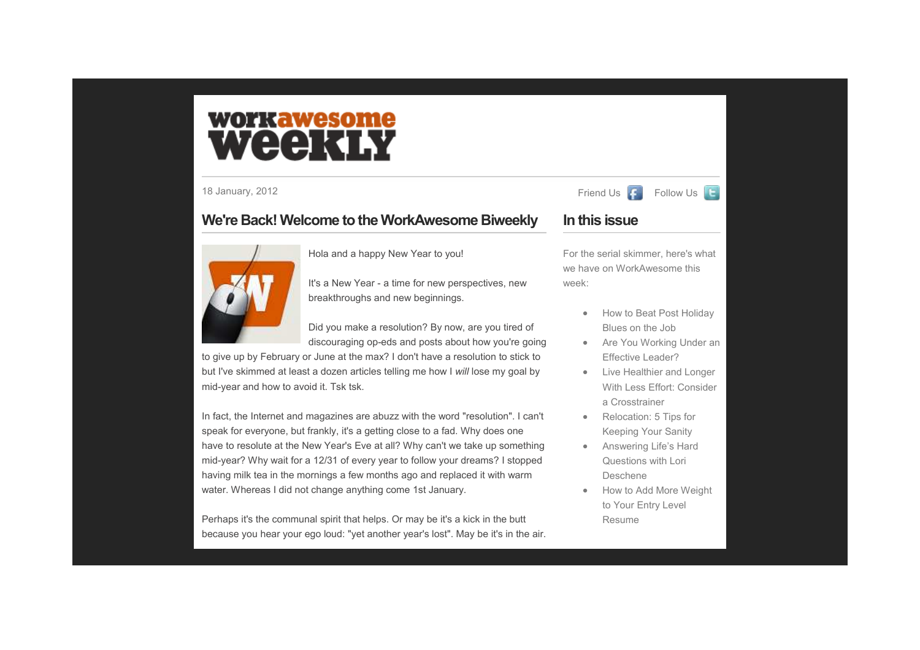# workawesome WEEKIN

18 January, 2012 **Fixago Advisor Acts 2012** Friend Us

## **We're Back! Welcome to the WorkAwesome Biweekly**



Hola and a happy New Year to you!

It's a New Year - a time for new perspectives, new breakthroughs and new beginnings.

Did you make a resolution? By now, are you tired ofdiscouraging op-eds and posts about how you're going

to give up by February or June at the max? I don't have a resolution to stick to but I've skimmed at least a dozen articles telling me how I *will* lose my goal by mid-year and how to avoid it. Tsk tsk.

In fact, the Internet and magazines are abuzz with the word "resolution". I can't speak for everyone, but frankly, it's a getting close to a fad. Why does one have to resolute at the New Year's Eve at all? Why can't we take up something mid-year? Why wait for a 12/31 of every year to follow your dreams? I stopped having milk tea in the mornings a few months ago and replaced it with warm water. Whereas I did not change anything come 1st January.

Perhaps it's the communal spirit that helps. Or may be it's a kick in the butt because you hear your ego loud: "yet another year's lost". May be it's in the air.

# Follow Us **E**

## **In this issue**

For the serial skimmer, here's what we have on WorkAwesome this week:

- How to Beat Post Holiday Blues on the Job
- Are You Working Under an Effective Leader?
- Live Healthier and Longer With Less Effort: Consider a Crosstrainer
- Relocation: 5 Tips for Keeping Your Sanity
- Answering Life's Hard Questions with Lori Deschene
- How to Add More Weight to Your Entry Level Resume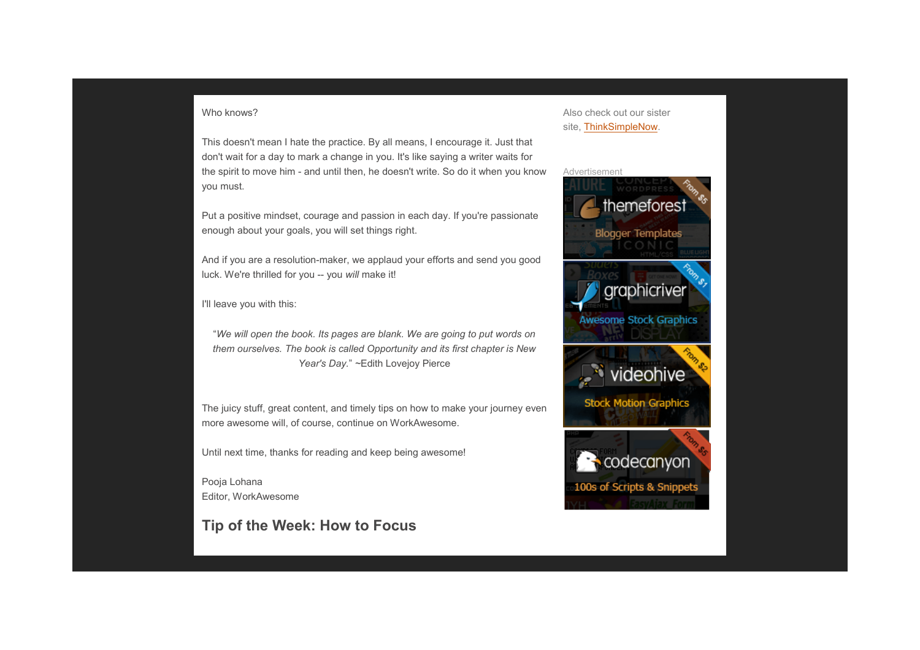#### Who knows?

This doesn't mean I hate the practice. By all means, I encourage it. Just that don't wait for a day to mark a change in you. It's like saying a writer waits for the spirit to move him - and until then, he doesn't write. So do it when you know you must.

Put a positive mindset, courage and passion in each day. If you're passionate enough about your goals, you will set things right.

And if you are a resolution-maker, we applaud your efforts and send you good luck. We're thrilled for you -- you *will* make it!

I'll leave you with this:

"*We will open the book. Its pages are blank. We are going to put words on them ourselves. The book is called Opportunity and its first chapter is New Year's Day.*" *~*Edith Lovejoy Pierce

The juicy stuff, great content, and timely tips on how to make your journey even more awesome will, of course, continue on WorkAwesome.

Until next time, thanks for reading and keep being awesome!

Pooja Lohana Editor, WorkAwesome

## **Tip of the Week: How to Focus**

### Also check out our sister site, ThinkSimpleNow.

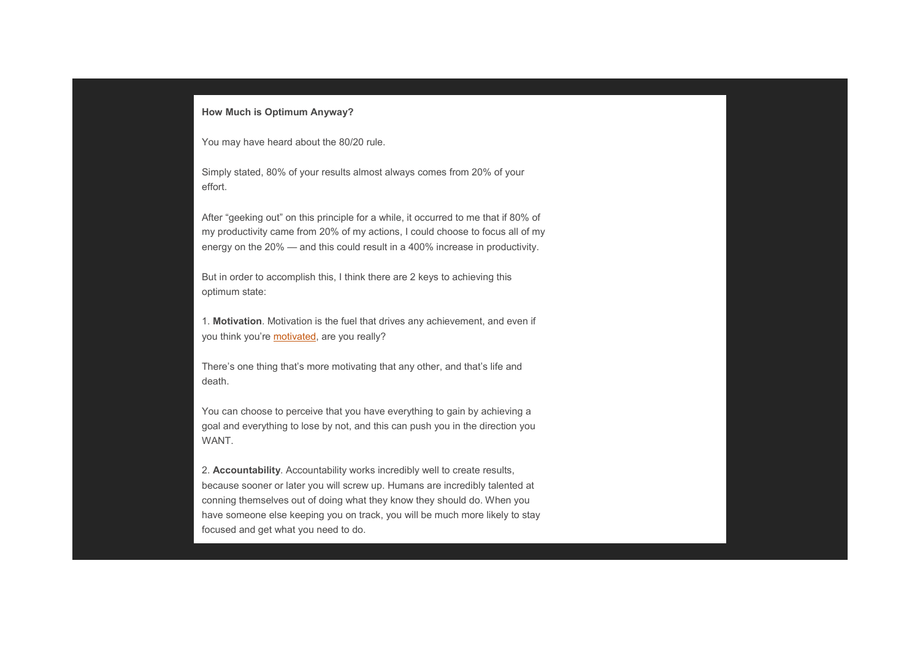#### **How Much is Optimum Anyway?**

You may have heard about the 80/20 rule.

Simply stated, 80% of your results almost always comes from 20% of your effort.

After "geeking out" on this principle for a while, it occurred to me that if 80% of my productivity [came from](http://workawesome.com/goals/motivation/) 20% of my actions, I could choose to focus all of my energy on the 20% — and this could result in a 400% increase in productivity.

But in order to accomplish this, I think there are 2 keys to achieving this optimum state:

1. **Motivation**. Motivation is the fuel that drives any achievement, and even if you think you're **motivated**, are you really?

There's one thing that's more motivating that any other, and that's life and death.

You can choose to perceive that you have everything to gain by achieving a goal and everything to lose by not, and this can push you in the direction you WANT.

2. **Accountability**. Accountability works incredibly well to create results, because sooner or later you will screw up. Humans are incredibly talented at conning themselves out of doing what they know they should do. When you have someone else keeping you on track, you will be much more likely to stay focused and get what you need to do.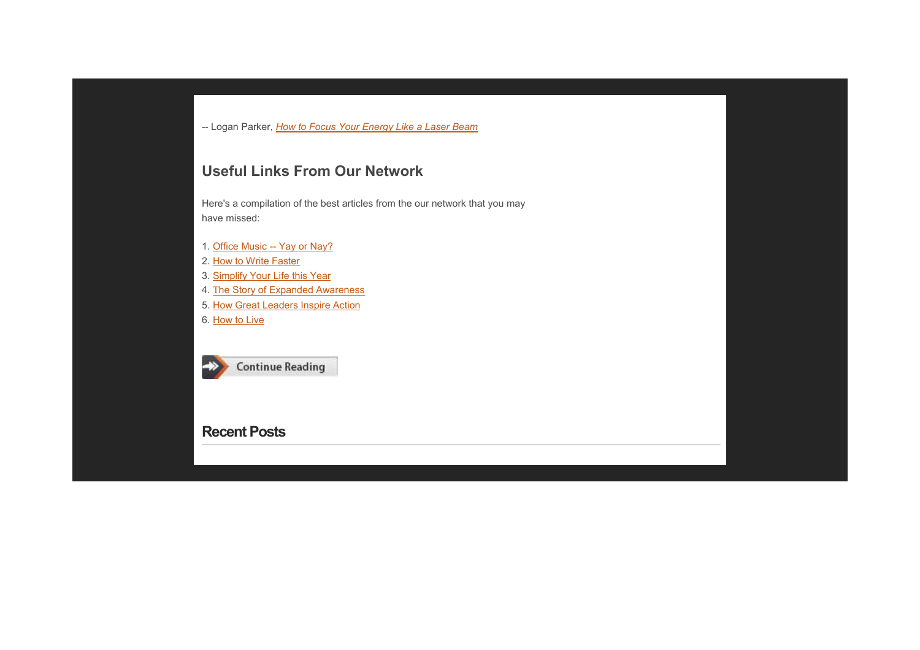-- Logan Parker, *How to Focus Your Energy Like a Laser Beam*

## **U[seful Links From](http://thinksimplenow.com/productivity/simplify-your-life-this-year/) Our Network**

H[ere's a compilation of the best artic](http://thinksimplenow.com/happiness/how-great-leaders-inspire-action/)les from the our network that you may h[ave missed:](http://thinksimplenow.com/clarity/how-to-live/) 

- 1. Office Music -- Yay or Nay?
- [2. How to Write Faster](http://www.workawesome.com/)
- 3. Simplify Your Life this Year
- 4. The Story of Expanded Awareness
- 5. How Great Leaders Inspire Action
- 6. How to Live



## **Recent Posts**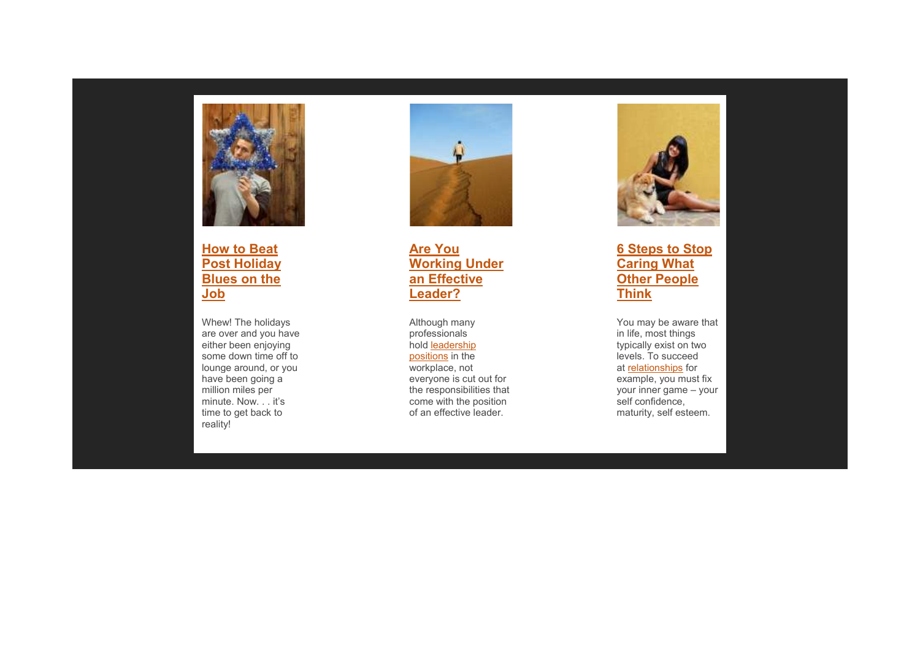

**How to Beat Post Holiday Blues on the Job**

Whew! The holidays are over and you have either been enjoying some down time off to lounge around, or you have been going a million miles per minute. Now. . . it's time to get back to reality!



**[Are Yo](http://workawesome.com/general/are-you-a-leader-or-are-you-in-a-leadership-position/)u Working Under an Effective Leader?**

Although many professionals hold leadership positions in the workplace, not everyone is cut out for the responsibilities that come with the position of an effective leader.



## **6 Steps to Stop C[aring Wha](http://workawesome.com/communication/how-to-deal-with-difficult-people/)t Other People Think**

You may be aware that in life, most things typically exist on two levels. To succeed at **relationships** for example, you must fix your inner game – your self confidence, maturity, self esteem.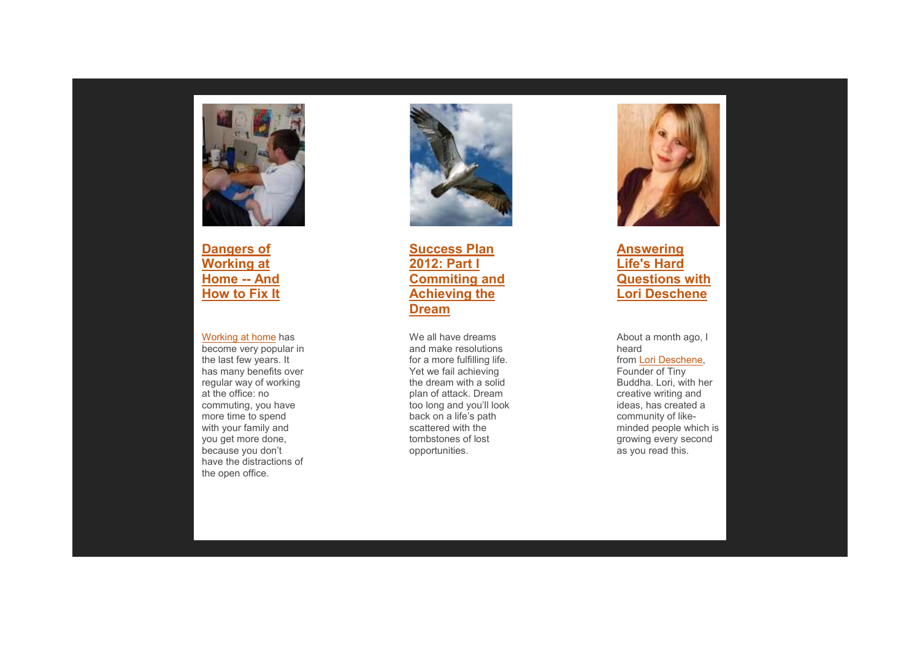

**Dangers of Working at Home -- And How to Fix It**

#### Working at home has

 become very popular in the last few years. It has many benefits over regular way of working at the office: no commuting, you have more time to spend with your family and you get more done, because you don't have the distractions of the open office.



**Success Plan 2012: Part I Commiting and Achieving theDream**

We all have dreams and make resolutions for a more fulfilling life. Yet we fail achieving the dream with a solid plan of attack. Dream too long and you'll look back on a life's path scattered with the tombstones of lost opportunities.



**An[swering](http://tinybuddha.com/)  Life's Hard Questions with Lori Deschene**

About a month ago, I heard from Lori Deschene, Founder of Tiny Buddha. Lori, with her creative writing and ideas, has created a community of likeminded people which is growing every second as you read this.